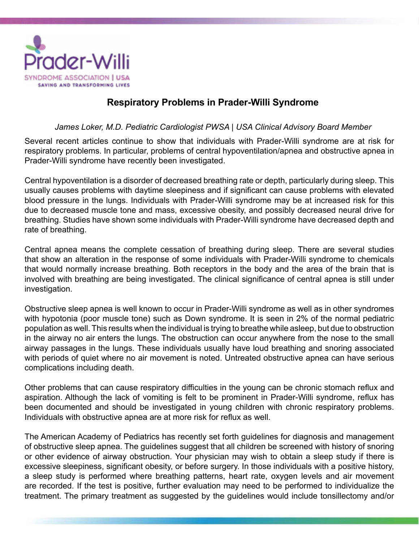

## **Respiratory Problems in Prader-Willi Syndrome**

## *James Loker, M.D. Pediatric Cardiologist PWSA | USA Clinical Advisory Board Member*

Several recent articles continue to show that individuals with Prader-Willi syndrome are at risk for respiratory problems. In particular, problems of central hypoventilation/apnea and obstructive apnea in Prader-Willi syndrome have recently been investigated.

Central hypoventilation is a disorder of decreased breathing rate or depth, particularly during sleep. This usually causes problems with daytime sleepiness and if significant can cause problems with elevated blood pressure in the lungs. Individuals with Prader-Willi syndrome may be at increased risk for this due to decreased muscle tone and mass, excessive obesity, and possibly decreased neural drive for breathing. Studies have shown some individuals with Prader-Willi syndrome have decreased depth and rate of breathing.

Central apnea means the complete cessation of breathing during sleep. There are several studies that show an alteration in the response of some individuals with Prader-Willi syndrome to chemicals that would normally increase breathing. Both receptors in the body and the area of the brain that is involved with breathing are being investigated. The clinical significance of central apnea is still under investigation.

Obstructive sleep apnea is well known to occur in Prader-Willi syndrome as well as in other syndromes with hypotonia (poor muscle tone) such as Down syndrome. It is seen in 2% of the normal pediatric population as well. This results when the individual is trying to breathe while asleep, but due to obstruction in the airway no air enters the lungs. The obstruction can occur anywhere from the nose to the small airway passages in the lungs. These individuals usually have loud breathing and snoring associated with periods of quiet where no air movement is noted. Untreated obstructive apnea can have serious complications including death.

Other problems that can cause respiratory difficulties in the young can be chronic stomach reflux and aspiration. Although the lack of vomiting is felt to be prominent in Prader-Willi syndrome, reflux has been documented and should be investigated in young children with chronic respiratory problems. Individuals with obstructive apnea are at more risk for reflux as well.

The American Academy of Pediatrics has recently set forth guidelines for diagnosis and management of obstructive sleep apnea. The guidelines suggest that all children be screened with history of snoring or other evidence of airway obstruction. Your physician may wish to obtain a sleep study if there is excessive sleepiness, significant obesity, or before surgery. In those individuals with a positive history, a sleep study is performed where breathing patterns, heart rate, oxygen levels and air movement are recorded. If the test is positive, further evaluation may need to be performed to individualize the treatment. The primary treatment as suggested by the guidelines would include tonsillectomy and/or